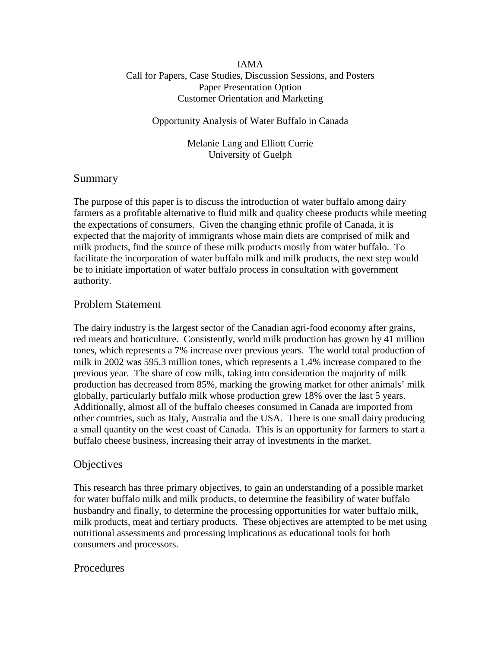#### IAMA Call for Papers, Case Studies, Discussion Sessions, and Posters Paper Presentation Option Customer Orientation and Marketing

#### Opportunity Analysis of Water Buffalo in Canada

Melanie Lang and Elliott Currie University of Guelph

### Summary

The purpose of this paper is to discuss the introduction of water buffalo among dairy farmers as a profitable alternative to fluid milk and quality cheese products while meeting the expectations of consumers. Given the changing ethnic profile of Canada, it is expected that the majority of immigrants whose main diets are comprised of milk and milk products, find the source of these milk products mostly from water buffalo. To facilitate the incorporation of water buffalo milk and milk products, the next step would be to initiate importation of water buffalo process in consultation with government authority.

### Problem Statement

The dairy industry is the largest sector of the Canadian agri-food economy after grains, red meats and horticulture. Consistently, world milk production has grown by 41 million tones, which represents a 7% increase over previous years. The world total production of milk in 2002 was 595.3 million tones, which represents a 1.4% increase compared to the previous year. The share of cow milk, taking into consideration the majority of milk production has decreased from 85%, marking the growing market for other animals' milk globally, particularly buffalo milk whose production grew 18% over the last 5 years. Additionally, almost all of the buffalo cheeses consumed in Canada are imported from other countries, such as Italy, Australia and the USA. There is one small dairy producing a small quantity on the west coast of Canada. This is an opportunity for farmers to start a buffalo cheese business, increasing their array of investments in the market.

## **Objectives**

This research has three primary objectives, to gain an understanding of a possible market for water buffalo milk and milk products, to determine the feasibility of water buffalo husbandry and finally, to determine the processing opportunities for water buffalo milk, milk products, meat and tertiary products. These objectives are attempted to be met using nutritional assessments and processing implications as educational tools for both consumers and processors.

#### Procedures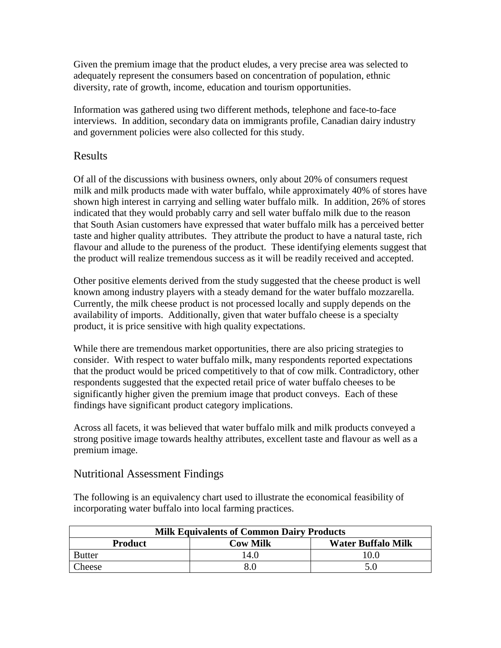Given the premium image that the product eludes, a very precise area was selected to adequately represent the consumers based on concentration of population, ethnic diversity, rate of growth, income, education and tourism opportunities.

Information was gathered using two different methods, telephone and face-to-face interviews. In addition, secondary data on immigrants profile, Canadian dairy industry and government policies were also collected for this study.

## Results

Of all of the discussions with business owners, only about 20% of consumers request milk and milk products made with water buffalo, while approximately 40% of stores have shown high interest in carrying and selling water buffalo milk. In addition, 26% of stores indicated that they would probably carry and sell water buffalo milk due to the reason that South Asian customers have expressed that water buffalo milk has a perceived better taste and higher quality attributes. They attribute the product to have a natural taste, rich flavour and allude to the pureness of the product. These identifying elements suggest that the product will realize tremendous success as it will be readily received and accepted.

Other positive elements derived from the study suggested that the cheese product is well known among industry players with a steady demand for the water buffalo mozzarella. Currently, the milk cheese product is not processed locally and supply depends on the availability of imports. Additionally, given that water buffalo cheese is a specialty product, it is price sensitive with high quality expectations.

While there are tremendous market opportunities, there are also pricing strategies to consider. With respect to water buffalo milk, many respondents reported expectations that the product would be priced competitively to that of cow milk. Contradictory, other respondents suggested that the expected retail price of water buffalo cheeses to be significantly higher given the premium image that product conveys. Each of these findings have significant product category implications.

Across all facets, it was believed that water buffalo milk and milk products conveyed a strong positive image towards healthy attributes, excellent taste and flavour as well as a premium image.

## Nutritional Assessment Findings

The following is an equivalency chart used to illustrate the economical feasibility of incorporating water buffalo into local farming practices.

| <b>Milk Equivalents of Common Dairy Products</b> |          |                           |  |
|--------------------------------------------------|----------|---------------------------|--|
| <b>Product</b>                                   | Cow Milk | <b>Water Buffalo Milk</b> |  |
| <b>Butter</b>                                    | 14.0     | 10.0                      |  |
| Cheese                                           |          | 5.0                       |  |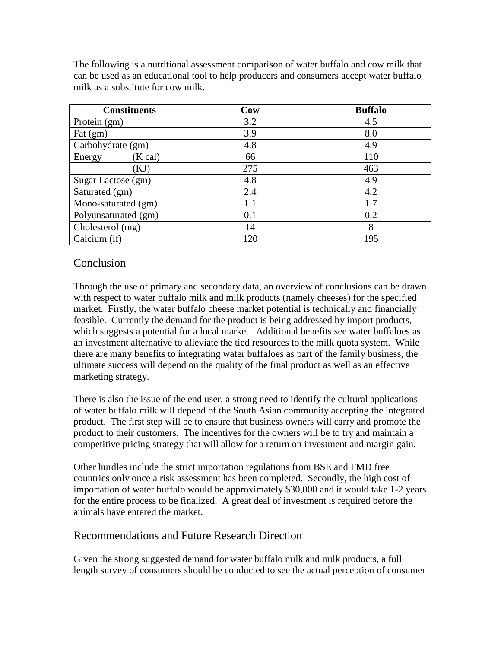The following is a nutritional assessment comparison of water buffalo and cow milk that can be used as an educational tool to help producers and consumers accept water buffalo milk as a substitute for cow milk.

| <b>Constituents</b>                | Cow | <b>Buffalo</b> |
|------------------------------------|-----|----------------|
| Protein (gm)                       | 3.2 | 4.5            |
| $\text{Fat}\left(\text{gm}\right)$ | 3.9 | 8.0            |
| Carbohydrate (gm)                  | 4.8 | 4.9            |
| (K cal)<br>Energy                  | 66  | 110            |
| [KJ]                               | 275 | 463            |
| Sugar Lactose (gm)                 | 4.8 | 4.9            |
| Saturated (gm)                     | 2.4 | 4.2            |
| Mono-saturated (gm)                | 1.1 | 1.7            |
| Polyunsaturated (gm)               | 0.1 | 0.2            |
| Cholesterol (mg)                   | 14  | 8              |
| Calcium (if)                       | 120 | 195            |

# Conclusion

Through the use of primary and secondary data, an overview of conclusions can be drawn with respect to water buffalo milk and milk products (namely cheeses) for the specified market. Firstly, the water buffalo cheese market potential is technically and financially feasible. Currently the demand for the product is being addressed by import products, which suggests a potential for a local market. Additional benefits see water buffaloes as an investment alternative to alleviate the tied resources to the milk quota system. While there are many benefits to integrating water buffaloes as part of the family business, the ultimate success will depend on the quality of the final product as well as an effective marketing strategy.

There is also the issue of the end user, a strong need to identify the cultural applications of water buffalo milk will depend of the South Asian community accepting the integrated product. The first step will be to ensure that business owners will carry and promote the product to their customers. The incentives for the owners will be to try and maintain a competitive pricing strategy that will allow for a return on investment and margin gain.

Other hurdles include the strict importation regulations from BSE and FMD free countries only once a risk assessment has been completed. Secondly, the high cost of importation of water buffalo would be approximately \$30,000 and it would take 1-2 years for the entire process to be finalized. A great deal of investment is required before the animals have entered the market.

## Recommendations and Future Research Direction

Given the strong suggested demand for water buffalo milk and milk products, a full length survey of consumers should be conducted to see the actual perception of consumer